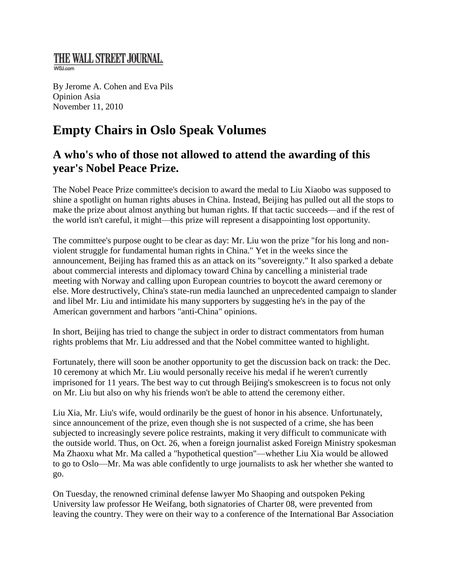## THE WALL STREET JOURNAL.

**WSJ.com** 

By Jerome A. Cohen and Eva Pils Opinion Asia November 11, 2010

## **Empty Chairs in Oslo Speak Volumes**

## **A who's who of those not allowed to attend the awarding of this year's Nobel Peace Prize.**

The Nobel Peace Prize committee's decision to award the medal to Liu Xiaobo was supposed to shine a spotlight on human rights abuses in China. Instead, Beijing has pulled out all the stops to make the prize about almost anything but human rights. If that tactic succeeds—and if the rest of the world isn't careful, it might—this prize will represent a disappointing lost opportunity.

The committee's purpose ought to be clear as day: Mr. Liu won the prize "for his long and nonviolent struggle for fundamental human rights in China." Yet in the weeks since the announcement, Beijing has framed this as an attack on its "sovereignty." It also sparked a debate about commercial interests and diplomacy toward China by cancelling a ministerial trade meeting with Norway and calling upon European countries to boycott the award ceremony or else. More destructively, China's state-run media launched an unprecedented campaign to slander and libel Mr. Liu and intimidate his many supporters by suggesting he's in the pay of the American government and harbors "anti-China" opinions.

In short, Beijing has tried to change the subject in order to distract commentators from human rights problems that Mr. Liu addressed and that the Nobel committee wanted to highlight.

Fortunately, there will soon be another opportunity to get the discussion back on track: the Dec. 10 ceremony at which Mr. Liu would personally receive his medal if he weren't currently imprisoned for 11 years. The best way to cut through Beijing's smokescreen is to focus not only on Mr. Liu but also on why his friends won't be able to attend the ceremony either.

Liu Xia, Mr. Liu's wife, would ordinarily be the guest of honor in his absence. Unfortunately, since announcement of the prize, even though she is not suspected of a crime, she has been subjected to increasingly severe police restraints, making it very difficult to communicate with the outside world. Thus, on Oct. 26, when a foreign journalist asked Foreign Ministry spokesman Ma Zhaoxu what Mr. Ma called a "hypothetical question"—whether Liu Xia would be allowed to go to Oslo—Mr. Ma was able confidently to urge journalists to ask her whether she wanted to go.

On Tuesday, the renowned criminal defense lawyer Mo Shaoping and outspoken Peking University law professor He Weifang, both signatories of Charter 08, were prevented from leaving the country. They were on their way to a conference of the International Bar Association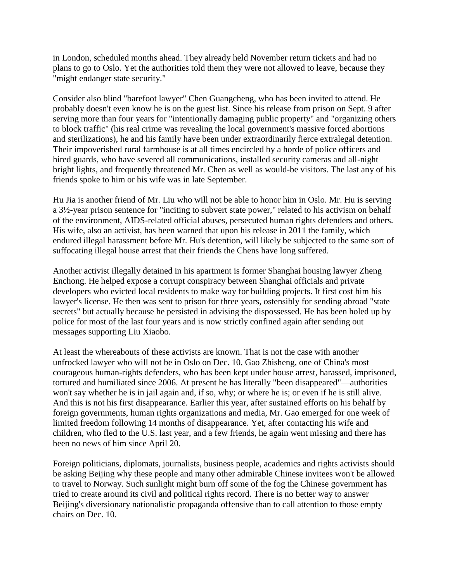in London, scheduled months ahead. They already held November return tickets and had no plans to go to Oslo. Yet the authorities told them they were not allowed to leave, because they "might endanger state security."

Consider also blind "barefoot lawyer" Chen Guangcheng, who has been invited to attend. He probably doesn't even know he is on the guest list. Since his release from prison on Sept. 9 after serving more than four years for "intentionally damaging public property" and "organizing others to block traffic" (his real crime was revealing the local government's massive forced abortions and sterilizations), he and his family have been under extraordinarily fierce extralegal detention. Their impoverished rural farmhouse is at all times encircled by a horde of police officers and hired guards, who have severed all communications, installed security cameras and all-night bright lights, and frequently threatened Mr. Chen as well as would-be visitors. The last any of his friends spoke to him or his wife was in late September.

Hu Jia is another friend of Mr. Liu who will not be able to honor him in Oslo. Mr. Hu is serving a 3½-year prison sentence for "inciting to subvert state power," related to his activism on behalf of the environment, AIDS-related official abuses, persecuted human rights defenders and others. His wife, also an activist, has been warned that upon his release in 2011 the family, which endured illegal harassment before Mr. Hu's detention, will likely be subjected to the same sort of suffocating illegal house arrest that their friends the Chens have long suffered.

Another activist illegally detained in his apartment is former Shanghai housing lawyer Zheng Enchong. He helped expose a corrupt conspiracy between Shanghai officials and private developers who evicted local residents to make way for building projects. It first cost him his lawyer's license. He then was sent to prison for three years, ostensibly for sending abroad "state secrets" but actually because he persisted in advising the dispossessed. He has been holed up by police for most of the last four years and is now strictly confined again after sending out messages supporting Liu Xiaobo.

At least the whereabouts of these activists are known. That is not the case with another unfrocked lawyer who will not be in Oslo on Dec. 10, Gao Zhisheng, one of China's most courageous human-rights defenders, who has been kept under house arrest, harassed, imprisoned, tortured and humiliated since 2006. At present he has literally "been disappeared"—authorities won't say whether he is in jail again and, if so, why; or where he is; or even if he is still alive. And this is not his first disappearance. Earlier this year, after sustained efforts on his behalf by foreign governments, human rights organizations and media, Mr. Gao emerged for one week of limited freedom following 14 months of disappearance. Yet, after contacting his wife and children, who fled to the U.S. last year, and a few friends, he again went missing and there has been no news of him since April 20.

Foreign politicians, diplomats, journalists, business people, academics and rights activists should be asking Beijing why these people and many other admirable Chinese invitees won't be allowed to travel to Norway. Such sunlight might burn off some of the fog the Chinese government has tried to create around its civil and political rights record. There is no better way to answer Beijing's diversionary nationalistic propaganda offensive than to call attention to those empty chairs on Dec. 10.